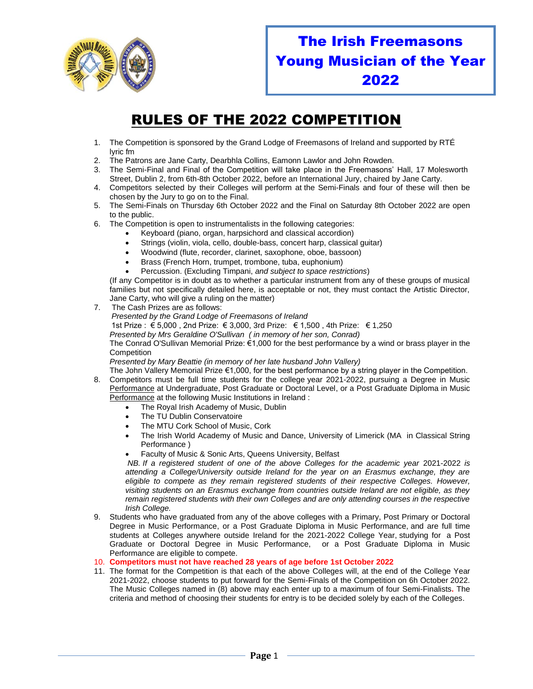

## The Irish Freemasons Young Musician of the Year 2022

## RULES OF THE 2022 COMPETITION

- 1. The Competition is sponsored by the Grand Lodge of Freemasons of Ireland and supported by RTÉ lyric fm
- 2. The Patrons are Jane Carty, Dearbhla Collins, Eamonn Lawlor and John Rowden.
- 3. The Semi-Final and Final of the Competition will take place in the Freemasons' Hall, 17 Molesworth Street, Dublin 2, from 6th-8th October 2022, before an International Jury, chaired by Jane Carty.
- 4. Competitors selected by their Colleges will perform at the Semi-Finals and four of these will then be chosen by the Jury to go on to the Final.
- 5. The Semi-Finals on Thursday 6th October 2022 and the Final on Saturday 8th October 2022 are open to the public.
- 6. The Competition is open to instrumentalists in the following categories:
	- Keyboard (piano, organ, harpsichord and classical accordion)
	- Strings (violin, viola, cello, double-bass, concert harp, classical guitar)
	- Woodwind (flute, recorder, clarinet, saxophone, oboe, bassoon)
	- Brass (French Horn, trumpet, trombone, tuba, euphonium)
	- Percussion. (Excluding Timpani, *and subject to space restrictions*)

(If any Competitor is in doubt as to whether a particular instrument from any of these groups of musical families but not specifically detailed here, is acceptable or not, they must contact the Artistic Director, Jane Carty, who will give a ruling on the matter)

- 7. The Cash Prizes are as follows: *Presented by the Grand Lodge of Freemasons of Ireland* 1st Prize : € 5,000 , 2nd Prize: € 3,000, 3rd Prize: € 1,500 , 4th Prize: € 1,250 *Presented by Mrs Geraldine O'Sullivan ( in memory of her son, Conrad)* The Conrad O'Sullivan Memorial Prize: €1,000 for the best performance by a wind or brass player in the **Competition** *Presented by Mary Beattie (in memory of her late husband John Vallery)* The John Vallery Memorial Prize €1,000, for the best performance by a string player in the Competition. 8. Competitors must be full time students for the college year 2021-2022, pursuing a Degree in Music
- Performance at Undergraduate, Post Graduate or Doctoral Level, or a Post Graduate Diploma in Music Performance at the following Music Institutions in Ireland :
	- The Royal Irish Academy of Music, Dublin
	- The TU Dublin Conservatoire
	- The MTU Cork School of Music, Cork
	- The Irish World Academy of Music and Dance, University of Limerick (MA in Classical String Performance )
	- Faculty of Music & Sonic Arts, Queens University, Belfast

*NB. If a registered student of one of the above Colleges for the academic year 2021-2022 is attending a College/University outside Ireland for the year on an Erasmus exchange, they are eligible to compete as they remain registered students of their respective Colleges. However, visiting students on an Erasmus exchange from countries outside Ireland are not eligible, as they remain registered students with their own Colleges and are only attending courses in the respective Irish College.*

- 9. Students who have graduated from any of the above colleges with a Primary, Post Primary or Doctoral Degree in Music Performance, or a Post Graduate Diploma in Music Performance, and are full time students at Colleges anywhere outside Ireland for the 2021-2022 College Year, studying for a Post Graduate or Doctoral Degree in Music Performance, or a Post Graduate Diploma in Music Performance are eligible to compete.
- 10. **Competitors must not have reached 28 years of age before 1st October 2022**
- 11. The format for the Competition is that each of the above Colleges will, at the end of the College Year 2021-2022, choose students to put forward for the Semi-Finals of the Competition on 6h October 2022. The Music Colleges named in (8) above may each enter up to a maximum of four Semi-Finalists**.** The criteria and method of choosing their students for entry is to be decided solely by each of the Colleges.